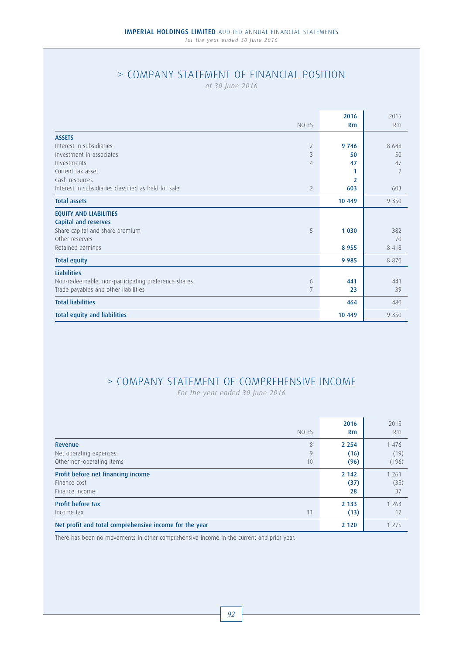# > COMPANY STATEMENT OF FINANCIAL POSITION

*at 30 June 2016*

| <b>NOTES</b>                                                           | 2016<br>Rm     | 2015<br>Rm     |
|------------------------------------------------------------------------|----------------|----------------|
| <b>ASSETS</b>                                                          |                |                |
| Interest in subsidiaries<br>$\overline{2}$                             | 9 7 4 6        | 8648           |
| Investment in associates<br>3                                          | 50             | 50             |
| Investments<br>4                                                       | 47             | 47             |
| Current tax asset                                                      | 1              | $\overline{2}$ |
| Cash resources                                                         | $\overline{2}$ |                |
| Interest in subsidiaries classified as held for sale<br>$\overline{2}$ | 603            | 603            |
| <b>Total assets</b>                                                    | 10 449         | 9 3 5 0        |
| <b>EQUITY AND LIABILITIES</b>                                          |                |                |
| Capital and reserves                                                   |                |                |
| Share capital and share premium<br>5                                   | 1 0 3 0        | 382            |
| Other reserves                                                         |                | 70             |
| Retained earnings                                                      | 8 9 5 5        | 8 4 1 8        |
| <b>Total equity</b>                                                    | 9 9 8 5        | 8 8 7 0        |
| <b>Liabilities</b>                                                     |                |                |
| Non-redeemable, non-participating preference shares<br>6               | 441            | 441            |
| Trade payables and other liabilities<br>7                              | 23             | 39             |
| <b>Total liabilities</b>                                               | 464            | 480            |
| <b>Total equity and liabilities</b>                                    | 10 449         | 9 3 5 0        |

# > COMPANY STATEMENT OF COMPREHENSIVE INCOME

*For the year ended 30 June 2016* 

| <b>NOTES</b>                                                                   | 2016<br>Rm              | 2015<br><b>Rm</b>        |
|--------------------------------------------------------------------------------|-------------------------|--------------------------|
| 8<br>Revenue<br>9<br>Net operating expenses<br>Other non-operating items<br>10 | 2 2 5 4<br>(16)<br>(96) | 1 4 7 6<br>(19)<br>(196) |
| Profit before net financing income<br>Finance cost<br>Finance income           | 2 1 4 2<br>(37)<br>28   | 1 2 6 1<br>(35)<br>37    |
| <b>Profit before tax</b><br>11<br>Income tax                                   | 2 1 3 3<br>(13)         | 1 2 6 3<br>12            |
| Net profit and total comprehensive income for the year                         | 2 1 2 0                 | 1 2 7 5                  |

There has been no movements in other comprehensive income in the current and prior year.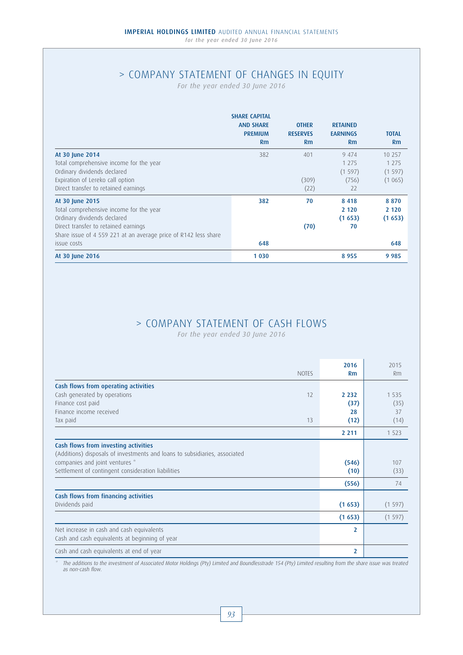# > COMPANY STATEMENT OF CHANGES IN EQUITY

*For the year ended 30 June 2016* 

|                                                                 | <b>SHARE CAPITAL</b><br><b>AND SHARE</b><br><b>PREMIUM</b><br>Rm | <b>OTHER</b><br><b>RESERVES</b><br>Rm | <b>RETAINED</b><br><b>EARNINGS</b><br>Rm | <b>TOTAL</b><br>Rm |
|-----------------------------------------------------------------|------------------------------------------------------------------|---------------------------------------|------------------------------------------|--------------------|
| At 30 June 2014                                                 | 382                                                              | 401                                   | 9 4 7 4                                  | 10 257             |
| Total comprehensive income for the year                         |                                                                  |                                       | 1 2 7 5                                  | 1 2 7 5            |
| Ordinary dividends declared                                     |                                                                  |                                       | (1597)                                   | (1597)             |
| Expiration of Lereko call option                                |                                                                  | (309)                                 | (756)                                    | (1065)             |
| Direct transfer to retained earnings                            |                                                                  | (22)                                  | 22                                       |                    |
| At 30 June 2015                                                 | 382                                                              | 70                                    | 8 4 1 8                                  | 8870               |
| Total comprehensive income for the year                         |                                                                  |                                       | 2 1 2 0                                  | 2 1 2 0            |
| Ordinary dividends declared                                     |                                                                  |                                       | (1653)                                   | (1653)             |
| Direct transfer to retained earnings                            |                                                                  | (70)                                  | 70                                       |                    |
| Share issue of 4 559 221 at an average price of R142 less share |                                                                  |                                       |                                          |                    |
| issue costs                                                     | 648                                                              |                                       |                                          | 648                |
| At 30 June 2016                                                 | 1 0 3 0                                                          |                                       | 8955                                     | 9985               |

# > COMPANY STATEMENT OF CASH FLOWS

*For the year ended 30 June 2016* 

|                                                                                                                    | <b>NOTES</b> | 2016<br>Rm     | 2015<br>Rm |
|--------------------------------------------------------------------------------------------------------------------|--------------|----------------|------------|
| Cash flows from operating activities                                                                               |              |                |            |
| Cash generated by operations                                                                                       | 12           | 2 2 3 2        | 1 5 3 5    |
| Finance cost paid                                                                                                  |              | (37)           | (35)       |
| Finance income received                                                                                            |              | 28             | 37         |
| Tax paid                                                                                                           | 13           | (12)           | (14)       |
|                                                                                                                    |              | 2 2 1 1        | 1 5 2 3    |
| Cash flows from investing activities<br>(Additions) disposals of investments and loans to subsidiaries, associated |              |                |            |
| companies and joint ventures *                                                                                     |              | (546)          | 107        |
| Settlement of contingent consideration liabilities                                                                 |              | (10)           | (33)       |
|                                                                                                                    |              | (556)          | 74         |
| Cash flows from financing activities                                                                               |              |                |            |
| Dividends paid                                                                                                     |              | (1653)         | (1597)     |
|                                                                                                                    |              | (1653)         | (1597)     |
| Net increase in cash and cash equivalents<br>Cash and cash equivalents at beginning of year                        |              | $\overline{2}$ |            |
|                                                                                                                    |              |                |            |
| Cash and cash equivalents at end of year                                                                           |              | $\overline{2}$ |            |

\* The additions to the investment of Associated Motor Holdings (Pty) Limited and Boundlesstrade 154 (Pty) Limited resulting from the share issue was treated as non-cash flow.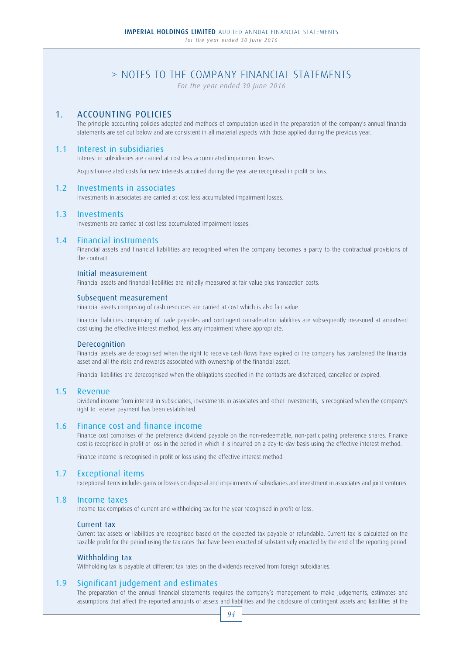# > NOTES TO THE COMPANY FINANCIAL STATEMENTS

*For the year ended 30 June 2016*

## 1. ACCOUNTING POLICIES

 The principle accounting policies adopted and methods of computation used in the preparation of the company's annual financial statements are set out below and are consistent in all material aspects with those applied during the previous year.

## 1.1 Interest in subsidiaries

Interest in subsidiaries are carried at cost less accumulated impairment losses.

Acquisition-related costs for new interests acquired during the year are recognised in profit or loss.

### 1.2 Investments in associates

Investments in associates are carried at cost less accumulated impairment losses.

### 1.3 Investments

Investments are carried at cost less accumulated impairment losses.

### 1.4 Financial instruments

 Financial assets and financial liabilities are recognised when the company becomes a party to the contractual provisions of the contract.

#### Initial measurement

Financial assets and financial liabilities are initially measured at fair value plus transaction costs.

#### Subsequent measurement

Financial assets comprising of cash resources are carried at cost which is also fair value.

 Financial liabilities comprising of trade payables and contingent consideration liabilities are subsequently measured at amortised cost using the effective interest method, less any impairment where appropriate.

#### Derecognition

 Financial assets are derecognised when the right to receive cash flows have expired or the company has transferred the financial asset and all the risks and rewards associated with ownership of the financial asset.

Financial liabilities are derecognised when the obligations specified in the contacts are discharged, cancelled or expired.

### 1.5 Revenue

 Dividend income from interest in subsidiaries, investments in associates and other investments, is recognised when the company's right to receive payment has been established.

### 1.6 Finance cost and finance income

 Finance cost comprises of the preference dividend payable on the non-redeemable, non-participating preference shares. Finance cost is recognised in profit or loss in the period in which it is incurred on a day-to-day basis using the effective interest method.

Finance income is recognised in profit or loss using the effective interest method.

### 1.7 Exceptional items

Exceptional items includes gains or losses on disposal and impairments of subsidiaries and investment in associates and joint ventures.

### 1.8 Income taxes

Income tax comprises of current and withholding tax for the year recognised in profit or loss.

### Current tax

 Current tax assets or liabilities are recognised based on the expected tax payable or refundable. Current tax is calculated on the taxable profit for the period using the tax rates that have been enacted of substantively enacted by the end of the reporting period.

### Withholding tax

Withholding tax is payable at different tax rates on the dividends received from foreign subsidiaries.

### 1.9 Significant judgement and estimates

 The preparation of the annual financial statements requires the company's management to make judgements, estimates and assumptions that affect the reported amounts of assets and liabilities and the disclosure of contingent assets and liabilities at the

94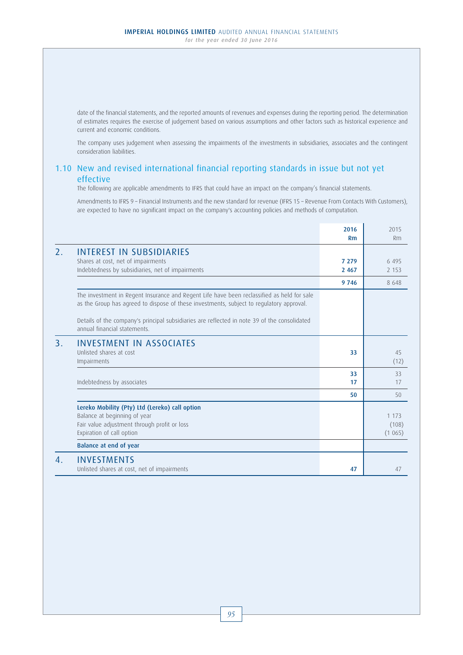date of the financial statements, and the reported amounts of revenues and expenses during the reporting period. The determination of estimates requires the exercise of judgement based on various assumptions and other factors such as historical experience and current and economic conditions.

 The company uses judgement when assessing the impairments of the investments in subsidiaries, associates and the contingent consideration liabilities.

## 1.10 New and revised international financial reporting standards in issue but not yet effective

The following are applicable amendments to IFRS that could have an impact on the company's financial statements.

 Amendments to IFRS 9 – Financial Instruments and the new standard for revenue (IFRS 15 – Revenue From Contacts With Customers), are expected to have no significant impact on the company's accounting policies and methods of computation.

|                |                                                                                                                                                                                        | 2016<br>Rm         | 2015<br>Rm                 |
|----------------|----------------------------------------------------------------------------------------------------------------------------------------------------------------------------------------|--------------------|----------------------------|
| 2.             | <b>INTEREST IN SUBSIDIARIES</b><br>Shares at cost, net of impairments<br>Indebtedness by subsidiaries, net of impairments                                                              | 7 2 7 9<br>2 4 6 7 | 6 4 9 5<br>2 1 5 3         |
|                |                                                                                                                                                                                        | 9 7 4 6            | 8 6 4 8                    |
|                | The investment in Regent Insurance and Regent Life have been reclassified as held for sale<br>as the Group has agreed to dispose of these investments, subject to regulatory approval. |                    |                            |
|                | Details of the company's principal subsidiaries are reflected in note 39 of the consolidated<br>annual financial statements.                                                           |                    |                            |
| 3.             | <b>INVESTMENT IN ASSOCIATES</b><br>Unlisted shares at cost<br>Impairments                                                                                                              | 33                 | 45<br>(12)                 |
|                | Indebtedness by associates                                                                                                                                                             | 33<br>17           | 33<br>17                   |
|                |                                                                                                                                                                                        | 50                 | 50                         |
|                | Lereko Mobility (Pty) Ltd (Lereko) call option<br>Balance at beginning of year<br>Fair value adjustment through profit or loss<br>Expiration of call option                            |                    | 1 1 7 3<br>(108)<br>(1065) |
|                | Balance at end of year                                                                                                                                                                 |                    |                            |
| $\mathbf{4}$ . | <b>INVESTMENTS</b><br>Unlisted shares at cost, net of impairments                                                                                                                      | 47                 | 47                         |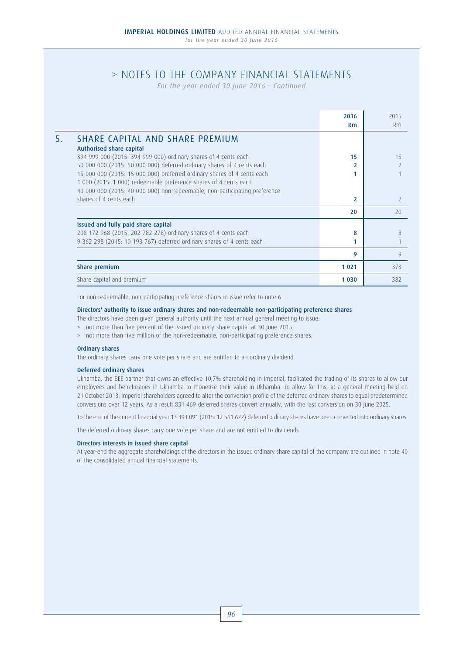# > NOTES TO THE COMPANY FINANCIAL STATEMENTS

*For the year ended 30 June 2016 – Continued*

|                                                                            | 2016<br>Rm     | 2015<br>Rm               |
|----------------------------------------------------------------------------|----------------|--------------------------|
| <b>SHARE CAPITAL AND SHARE PREMIUM</b>                                     |                |                          |
| Authorised share capital                                                   |                |                          |
| 394 999 000 (2015: 394 999 000) ordinary shares of 4 cents each            | 15             | 15                       |
| 50 000 000 (2015: 50 000 000) deferred ordinary shares of 4 cents each     |                |                          |
| 15 000 000 (2015: 15 000 000) preferred ordinary shares of 4 cents each    |                |                          |
| 1 000 (2015: 1 000) redeemable preference shares of 4 cents each           |                |                          |
| 40 000 000 (2015: 40 000 000) non-redeemable, non-participating preference |                |                          |
| shares of 4 cents each                                                     | $\overline{2}$ | $\overline{\phantom{a}}$ |
|                                                                            | 20             | 20                       |
| Issued and fully paid share capital                                        |                |                          |
| 208 172 968 (2015: 202 782 278) ordinary shares of 4 cents each            | 8              | 8                        |
| 9 362 298 (2015: 10 193 767) deferred ordinary shares of 4 cents each      |                |                          |
|                                                                            | 9              | 9                        |
| Share premium                                                              | 1021           | 373                      |
| Share capital and premium                                                  | 1 0 3 0        | 382                      |

For non-redeemable, non-participating preference shares in issue refer to note 6.

#### Directors' authority to issue ordinary shares and non-redeemable non-participating preference shares

The directors have been given general authority until the next annual general meeting to issue:

- > not more than five percent of the issued ordinary share capital at 30 June 2015;
- > not more than five million of the non-redeemable, non-participating preference shares.

#### Ordinary shares

The ordinary shares carry one vote per share and are entitled to an ordinary dividend.

#### Deferred ordinary shares

 Ukhamba, the BEE partner that owns an effective 10,7% shareholding in Imperial, facilitated the trading of its shares to allow our employees and beneficiaries in Ukhamba to monetise their value in Ukhamba. To allow for this, at a general meeting held on 21 October 2013, Imperial shareholders agreed to alter the conversion profile of the deferred ordinary shares to equal predetermined conversions over 12 years. As a result 831 469 deferred shares convert annually, with the last conversion on 30 June 2025.

To the end of the current financial year 13 393 091 (2015: 12 561 622) deferred ordinary shares have been converted into ordinary shares.

The deferred ordinary shares carry one vote per share and are not entitled to dividends.

#### Directors interests in issued share capital

 At year-end the aggregate shareholdings of the directors in the issued ordinary share capital of the company are outlined in note 40 of the consolidated annual financial statements.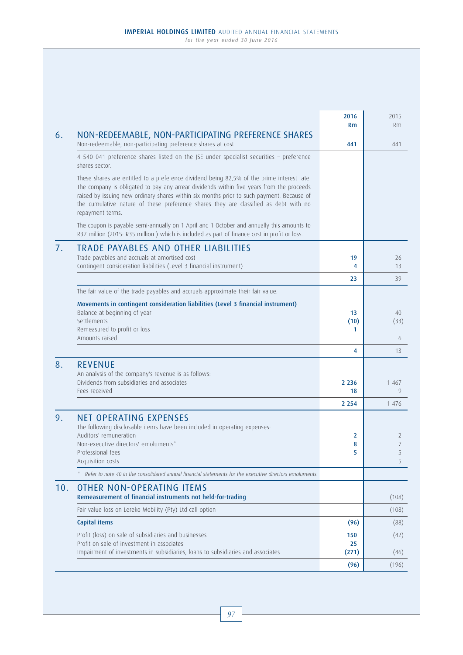| 6.  | NON-REDEEMABLE, NON-PARTICIPATING PREFERENCE SHARES                                                                                                                                                                                                                                                                                                                                             | 2016<br>Rm         | 2015<br><b>Rm</b> |
|-----|-------------------------------------------------------------------------------------------------------------------------------------------------------------------------------------------------------------------------------------------------------------------------------------------------------------------------------------------------------------------------------------------------|--------------------|-------------------|
|     | Non-redeemable, non-participating preference shares at cost                                                                                                                                                                                                                                                                                                                                     | 441                | 441               |
|     | 4 540 041 preference shares listed on the JSE under specialist securities - preference<br>shares sector.                                                                                                                                                                                                                                                                                        |                    |                   |
|     | These shares are entitled to a preference dividend being 82,5% of the prime interest rate.<br>The company is obligated to pay any arrear dividends within five years from the proceeds<br>raised by issuing new ordinary shares within six months prior to such payment. Because of<br>the cumulative nature of these preference shares they are classified as debt with no<br>repayment terms. |                    |                   |
|     | The coupon is payable semi-annually on 1 April and 1 October and annually this amounts to<br>R37 million (2015: R35 million ) which is included as part of finance cost in profit or loss.                                                                                                                                                                                                      |                    |                   |
| 7.  | <b>TRADE PAYABLES AND OTHER LIABILITIES</b><br>Trade payables and accruals at amortised cost<br>Contingent consideration liabilities (Level 3 financial instrument)                                                                                                                                                                                                                             | 19<br>4            | 26<br>13          |
|     |                                                                                                                                                                                                                                                                                                                                                                                                 | 23                 | 39                |
|     | The fair value of the trade payables and accruals approximate their fair value.                                                                                                                                                                                                                                                                                                                 |                    |                   |
|     | Movements in contingent consideration liabilities (Level 3 financial instrument)<br>Balance at beginning of year<br>Settlements<br>Remeasured to profit or loss<br>Amounts raised                                                                                                                                                                                                               | 13<br>(10)<br>1.   | 40<br>(33)<br>6   |
|     |                                                                                                                                                                                                                                                                                                                                                                                                 | 4                  | 13                |
| 8.  | <b>REVENUE</b><br>An analysis of the company's revenue is as follows:<br>Dividends from subsidiaries and associates                                                                                                                                                                                                                                                                             | 2 2 3 6            | 1 4 6 7           |
|     | Fees received                                                                                                                                                                                                                                                                                                                                                                                   | 18                 | 9                 |
|     |                                                                                                                                                                                                                                                                                                                                                                                                 | 2 2 5 4            | 1 4 7 6           |
| 9.  | <b>NET OPERATING EXPENSES</b><br>The following disclosable items have been included in operating expenses:<br>Auditors' remuneration<br>Non-executive directors' emoluments*<br>Professional fees<br>Acquisition costs                                                                                                                                                                          | 2<br>8<br>5        | 2<br>5<br>5       |
|     | Refer to note 40 in the consolidated annual financial statements for the executive directors emoluments.                                                                                                                                                                                                                                                                                        |                    |                   |
| 10. | <b>OTHER NON-OPERATING ITEMS</b><br>Remeasurement of financial instruments not held-for-trading                                                                                                                                                                                                                                                                                                 |                    | (108)             |
|     | Fair value loss on Lereko Mobility (Pty) Ltd call option                                                                                                                                                                                                                                                                                                                                        |                    | (108)             |
|     | Capital items                                                                                                                                                                                                                                                                                                                                                                                   | (96)               | (88)              |
|     | Profit (loss) on sale of subsidiaries and businesses<br>Profit on sale of investment in associates<br>Impairment of investments in subsidiaries, loans to subsidiaries and associates                                                                                                                                                                                                           | 150<br>25<br>(271) | (42)<br>(46)      |
|     |                                                                                                                                                                                                                                                                                                                                                                                                 | (96)               | (196)             |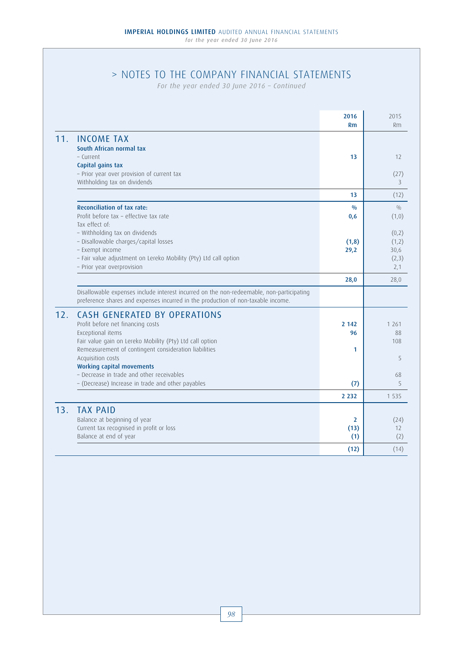# > NOTES TO THE COMPANY FINANCIAL STATEMENTS

*For the year ended 30 June 2016 – Continued*

| 2016                                                                                                                                                                         | 2015    |
|------------------------------------------------------------------------------------------------------------------------------------------------------------------------------|---------|
| Rm                                                                                                                                                                           | Rm      |
| 11.<br><b>INCOME TAX</b>                                                                                                                                                     |         |
| South African normal tax                                                                                                                                                     |         |
| - Current<br>13                                                                                                                                                              | 12      |
| Capital gains tax                                                                                                                                                            |         |
| - Prior year over provision of current tax                                                                                                                                   | (27)    |
| Withholding tax on dividends                                                                                                                                                 | 3       |
| 13                                                                                                                                                                           | (12)    |
| Reconciliation of tax rate:<br>$\frac{0}{0}$                                                                                                                                 | 0/0     |
| Profit before tax - effective tax rate<br>0,6                                                                                                                                | (1,0)   |
| Tax effect of:                                                                                                                                                               |         |
| - Withholding tax on dividends                                                                                                                                               | (0,2)   |
| - Disallowable charges/capital losses<br>(1,8)                                                                                                                               | (1,2)   |
| - Exempt income<br>29,2                                                                                                                                                      | 30,6    |
| - Fair value adjustment on Lereko Mobility (Pty) Ltd call option                                                                                                             | (2,3)   |
| - Prior year overprovision                                                                                                                                                   | 2,1     |
| 28,0                                                                                                                                                                         | 28,0    |
| Disallowable expenses include interest incurred on the non-redeemable, non-participating<br>preference shares and expenses incurred in the production of non-taxable income. |         |
| 12.<br><b>CASH GENERATED BY OPERATIONS</b>                                                                                                                                   |         |
| Profit before net financing costs<br>2 1 4 2                                                                                                                                 | 1 2 6 1 |
| Exceptional items<br>96                                                                                                                                                      | 88      |
| Fair value gain on Lereko Mobility (Pty) Ltd call option                                                                                                                     | 108     |
| Remeasurement of contingent consideration liabilities<br>1                                                                                                                   |         |
| Acquisition costs                                                                                                                                                            | 5       |
| <b>Working capital movements</b>                                                                                                                                             |         |
| - Decrease in trade and other receivables                                                                                                                                    | 68      |
| - (Decrease) Increase in trade and other payables<br>(7)                                                                                                                     | 5       |
| 2 2 3 2                                                                                                                                                                      | 1 5 3 5 |
| 13.<br><b>TAX PAID</b>                                                                                                                                                       |         |
| Balance at beginning of year<br>$\overline{2}$                                                                                                                               | (24)    |
| Current tax recognised in profit or loss<br>(13)                                                                                                                             | 12      |
| Balance at end of year<br>(1)                                                                                                                                                | (2)     |
| (12)                                                                                                                                                                         | (14)    |